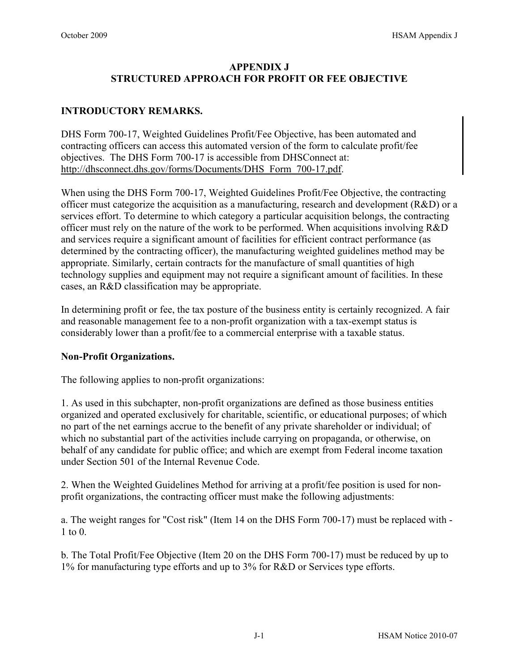### **APPENDIX J STRUCTURED APPROACH FOR PROFIT OR FEE OBJECTIVE**

#### **INTRODUCTORY REMARKS.**

DHS Form 700-17, Weighted Guidelines Profit/Fee Objective, has been automated and contracting officers can access this automated version of the form to calculate profit/fee objectives. The DHS Form 700-17 is accessible from DHSConnect at: [http://dhsconnect.dhs.gov/forms/Documents/DHS\\_Form\\_700-17.pdf.](http://dhsconnect.dhs.gov/forms/Documents/DHS_Form_700-17.pdf)

When using the DHS Form 700-17, Weighted Guidelines Profit/Fee Objective, the contracting officer must categorize the acquisition as a manufacturing, research and development (R&D) or a services effort. To determine to which category a particular acquisition belongs, the contracting officer must rely on the nature of the work to be performed. When acquisitions involving R&D and services require a significant amount of facilities for efficient contract performance (as determined by the contracting officer), the manufacturing weighted guidelines method may be appropriate. Similarly, certain contracts for the manufacture of small quantities of high technology supplies and equipment may not require a significant amount of facilities. In these cases, an R&D classification may be appropriate.

In determining profit or fee, the tax posture of the business entity is certainly recognized. A fair and reasonable management fee to a non-profit organization with a tax-exempt status is considerably lower than a profit/fee to a commercial enterprise with a taxable status.

#### **Non-Profit Organizations.**

The following applies to non-profit organizations:

1. As used in this subchapter, non-profit organizations are defined as those business entities organized and operated exclusively for charitable, scientific, or educational purposes; of which no part of the net earnings accrue to the benefit of any private shareholder or individual; of which no substantial part of the activities include carrying on propaganda, or otherwise, on behalf of any candidate for public office; and which are exempt from Federal income taxation under Section 501 of the Internal Revenue Code.

2. When the Weighted Guidelines Method for arriving at a profit/fee position is used for nonprofit organizations, the contracting officer must make the following adjustments:

a. The weight ranges for "Cost risk" (Item 14 on the DHS Form 700-17) must be replaced with - 1 to 0.

b. The Total Profit/Fee Objective (Item 20 on the DHS Form 700-17) must be reduced by up to 1% for manufacturing type efforts and up to 3% for R&D or Services type efforts.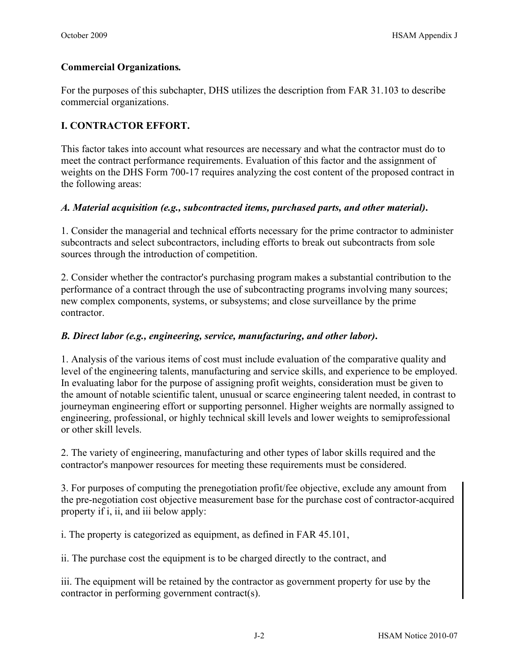### **Commercial Organizations***.*

For the purposes of this subchapter, DHS utilizes the description from FAR 31.103 to describe commercial organizations.

# **I. CONTRACTOR EFFORT.**

This factor takes into account what resources are necessary and what the contractor must do to meet the contract performance requirements. Evaluation of this factor and the assignment of weights on the DHS Form 700-17 requires analyzing the cost content of the proposed contract in the following areas:

## *A. Material acquisition (e.g., subcontracted items, purchased parts, and other material)***.**

1. Consider the managerial and technical efforts necessary for the prime contractor to administer subcontracts and select subcontractors, including efforts to break out subcontracts from sole sources through the introduction of competition.

2. Consider whether the contractor's purchasing program makes a substantial contribution to the performance of a contract through the use of subcontracting programs involving many sources; new complex components, systems, or subsystems; and close surveillance by the prime contractor.

#### *B. Direct labor (e.g., engineering, service, manufacturing, and other labor)***.**

1. Analysis of the various items of cost must include evaluation of the comparative quality and level of the engineering talents, manufacturing and service skills, and experience to be employed. In evaluating labor for the purpose of assigning profit weights, consideration must be given to the amount of notable scientific talent, unusual or scarce engineering talent needed, in contrast to journeyman engineering effort or supporting personnel. Higher weights are normally assigned to engineering, professional, or highly technical skill levels and lower weights to semiprofessional or other skill levels.

2. The variety of engineering, manufacturing and other types of labor skills required and the contractor's manpower resources for meeting these requirements must be considered.

3. For purposes of computing the prenegotiation profit/fee objective, exclude any amount from the pre-negotiation cost objective measurement base for the purchase cost of contractor-acquired property if i, ii, and iii below apply:

i. The property is categorized as equipment, as defined in FAR 45.101,

ii. The purchase cost the equipment is to be charged directly to the contract, and

iii. The equipment will be retained by the contractor as government property for use by the contractor in performing government contract(s).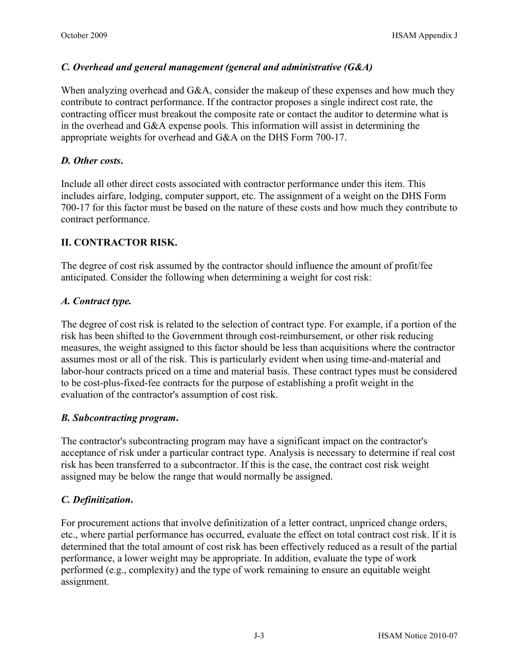### *C. Overhead and general management (general and administrative (G&A)*

When analyzing overhead and G&A, consider the makeup of these expenses and how much they contribute to contract performance. If the contractor proposes a single indirect cost rate, the contracting officer must breakout the composite rate or contact the auditor to determine what is in the overhead and G&A expense pools. This information will assist in determining the appropriate weights for overhead and G&A on the DHS Form 700-17.

### *D. Other costs***.**

Include all other direct costs associated with contractor performance under this item. This includes airfare, lodging, computer support, etc. The assignment of a weight on the DHS Form 700-17 for this factor must be based on the nature of these costs and how much they contribute to contract performance.

## **II. CONTRACTOR RISK.**

The degree of cost risk assumed by the contractor should influence the amount of profit/fee anticipated. Consider the following when determining a weight for cost risk:

#### *A. Contract type.*

The degree of cost risk is related to the selection of contract type. For example, if a portion of the risk has been shifted to the Government through cost-reimbursement, or other risk reducing measures, the weight assigned to this factor should be less than acquisitions where the contractor assumes most or all of the risk. This is particularly evident when using time-and-material and labor-hour contracts priced on a time and material basis. These contract types must be considered to be cost-plus-fixed-fee contracts for the purpose of establishing a profit weight in the evaluation of the contractor's assumption of cost risk.

#### *B. Subcontracting program***.**

The contractor's subcontracting program may have a significant impact on the contractor's acceptance of risk under a particular contract type. Analysis is necessary to determine if real cost risk has been transferred to a subcontractor. If this is the case, the contract cost risk weight assigned may be below the range that would normally be assigned.

#### *C. Definitization***.**

For procurement actions that involve definitization of a letter contract, unpriced change orders, etc., where partial performance has occurred, evaluate the effect on total contract cost risk. If it is determined that the total amount of cost risk has been effectively reduced as a result of the partial performance, a lower weight may be appropriate. In addition, evaluate the type of work performed (e.g., complexity) and the type of work remaining to ensure an equitable weight assignment.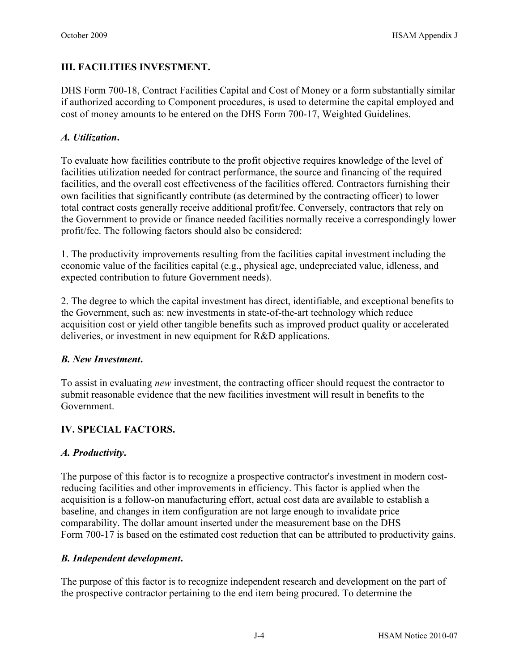## **III. FACILITIES INVESTMENT.**

DHS Form 700-18, Contract Facilities Capital and Cost of Money or a form substantially similar if authorized according to Component procedures, is used to determine the capital employed and cost of money amounts to be entered on the DHS Form 700-17, Weighted Guidelines.

#### *A. Utilization***.**

To evaluate how facilities contribute to the profit objective requires knowledge of the level of facilities utilization needed for contract performance, the source and financing of the required facilities, and the overall cost effectiveness of the facilities offered. Contractors furnishing their own facilities that significantly contribute (as determined by the contracting officer) to lower total contract costs generally receive additional profit/fee. Conversely, contractors that rely on the Government to provide or finance needed facilities normally receive a correspondingly lower profit/fee. The following factors should also be considered:

1. The productivity improvements resulting from the facilities capital investment including the economic value of the facilities capital (e.g., physical age, undepreciated value, idleness, and expected contribution to future Government needs).

2. The degree to which the capital investment has direct, identifiable, and exceptional benefits to the Government, such as: new investments in state-of-the-art technology which reduce acquisition cost or yield other tangible benefits such as improved product quality or accelerated deliveries, or investment in new equipment for R&D applications.

#### *B. New Investment***.**

To assist in evaluating *new* investment, the contracting officer should request the contractor to submit reasonable evidence that the new facilities investment will result in benefits to the Government.

#### **IV. SPECIAL FACTORS.**

#### *A. Productivity***.**

The purpose of this factor is to recognize a prospective contractor's investment in modern costreducing facilities and other improvements in efficiency. This factor is applied when the acquisition is a follow-on manufacturing effort, actual cost data are available to establish a baseline, and changes in item configuration are not large enough to invalidate price comparability. The dollar amount inserted under the measurement base on the DHS Form 700-17 is based on the estimated cost reduction that can be attributed to productivity gains.

#### *B. Independent development***.**

The purpose of this factor is to recognize independent research and development on the part of the prospective contractor pertaining to the end item being procured. To determine the